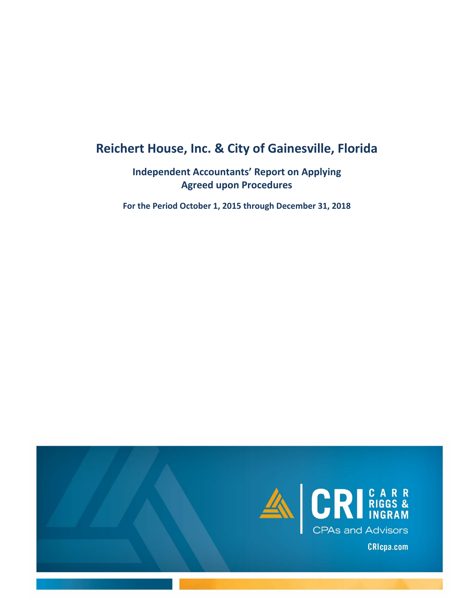# **Reichert House, Inc. & City of Gainesville, Florida**

# **Independent Accountants' Report on Applying Agreed upon Procedures**

**For the Period October 1, 2015 through December 31, 2018** 

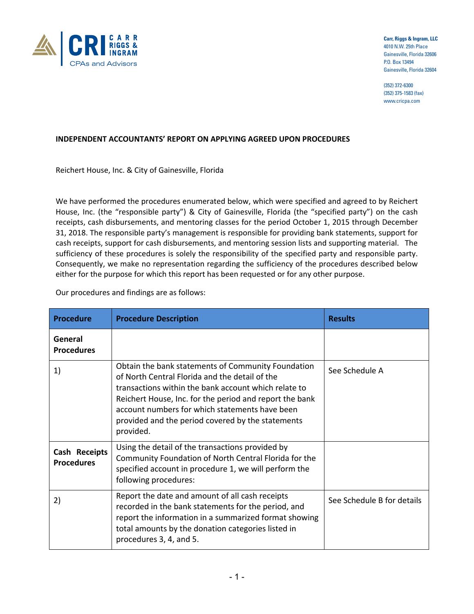

**Carr, Riggs & Ingram, LLC** 4010 N.W. 25th Place Gainesville, Florida 32606 P.O. Box 13494 Gainesville, Florida 32604

(352) 372-6300 (352) 375-1583 (fax) www.cricpa.com

#### **INDEPENDENT ACCOUNTANTS' REPORT ON APPLYING AGREED UPON PROCEDURES**

Reichert House, Inc. & City of Gainesville, Florida

We have performed the procedures enumerated below, which were specified and agreed to by Reichert House, Inc. (the "responsible party") & City of Gainesville, Florida (the "specified party") on the cash receipts, cash disbursements, and mentoring classes for the period October 1, 2015 through December 31, 2018. The responsible party's management is responsible for providing bank statements, support for cash receipts, support for cash disbursements, and mentoring session lists and supporting material. The sufficiency of these procedures is solely the responsibility of the specified party and responsible party. Consequently, we make no representation regarding the sufficiency of the procedures described below either for the purpose for which this report has been requested or for any other purpose.

Our procedures and findings are as follows:

| <b>Procedure</b>                   | <b>Procedure Description</b>                                                                                                                                                                                                                                                                                                                | <b>Results</b>             |
|------------------------------------|---------------------------------------------------------------------------------------------------------------------------------------------------------------------------------------------------------------------------------------------------------------------------------------------------------------------------------------------|----------------------------|
| General<br><b>Procedures</b>       |                                                                                                                                                                                                                                                                                                                                             |                            |
| 1)                                 | Obtain the bank statements of Community Foundation<br>of North Central Florida and the detail of the<br>transactions within the bank account which relate to<br>Reichert House, Inc. for the period and report the bank<br>account numbers for which statements have been<br>provided and the period covered by the statements<br>provided. | See Schedule A             |
| Cash Receipts<br><b>Procedures</b> | Using the detail of the transactions provided by<br>Community Foundation of North Central Florida for the<br>specified account in procedure 1, we will perform the<br>following procedures:                                                                                                                                                 |                            |
| 2)                                 | Report the date and amount of all cash receipts<br>recorded in the bank statements for the period, and<br>report the information in a summarized format showing<br>total amounts by the donation categories listed in<br>procedures 3, 4, and 5.                                                                                            | See Schedule B for details |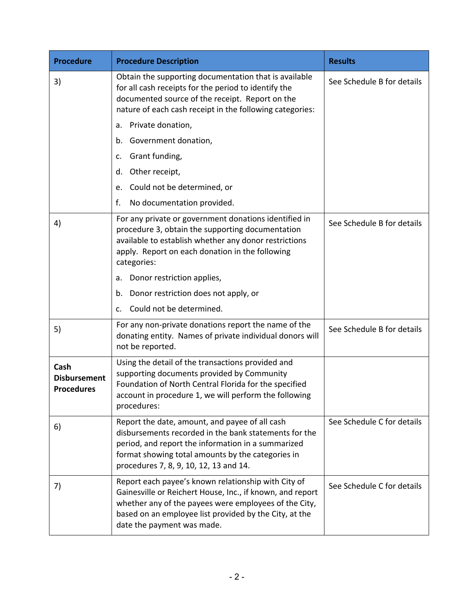| <b>Procedure</b>                                 | <b>Procedure Description</b>                                                                                                                                                                                                                                      | <b>Results</b>             |  |
|--------------------------------------------------|-------------------------------------------------------------------------------------------------------------------------------------------------------------------------------------------------------------------------------------------------------------------|----------------------------|--|
| 3)                                               | Obtain the supporting documentation that is available<br>for all cash receipts for the period to identify the<br>documented source of the receipt. Report on the<br>nature of each cash receipt in the following categories:                                      | See Schedule B for details |  |
|                                                  | Private donation,<br>а.                                                                                                                                                                                                                                           |                            |  |
|                                                  | Government donation,<br>b.                                                                                                                                                                                                                                        |                            |  |
|                                                  | Grant funding,<br>c.                                                                                                                                                                                                                                              |                            |  |
|                                                  | Other receipt,<br>d.                                                                                                                                                                                                                                              |                            |  |
|                                                  | Could not be determined, or<br>e.                                                                                                                                                                                                                                 |                            |  |
|                                                  | No documentation provided.<br>f.                                                                                                                                                                                                                                  |                            |  |
| 4)                                               | For any private or government donations identified in<br>procedure 3, obtain the supporting documentation<br>available to establish whether any donor restrictions<br>apply. Report on each donation in the following<br>categories:                              | See Schedule B for details |  |
|                                                  | Donor restriction applies,<br>a.                                                                                                                                                                                                                                  |                            |  |
|                                                  | Donor restriction does not apply, or<br>b.                                                                                                                                                                                                                        |                            |  |
|                                                  | Could not be determined.<br>c.                                                                                                                                                                                                                                    |                            |  |
| 5)                                               | For any non-private donations report the name of the<br>donating entity. Names of private individual donors will<br>not be reported.                                                                                                                              | See Schedule B for details |  |
| Cash<br><b>Disbursement</b><br><b>Procedures</b> | Using the detail of the transactions provided and<br>supporting documents provided by Community<br>Foundation of North Central Florida for the specified<br>account in procedure 1, we will perform the following<br>procedures:                                  |                            |  |
| 6)                                               | Report the date, amount, and payee of all cash<br>disbursements recorded in the bank statements for the<br>period, and report the information in a summarized<br>format showing total amounts by the categories in<br>procedures 7, 8, 9, 10, 12, 13 and 14.      | See Schedule C for details |  |
| 7)                                               | Report each payee's known relationship with City of<br>Gainesville or Reichert House, Inc., if known, and report<br>whether any of the payees were employees of the City,<br>based on an employee list provided by the City, at the<br>date the payment was made. | See Schedule C for details |  |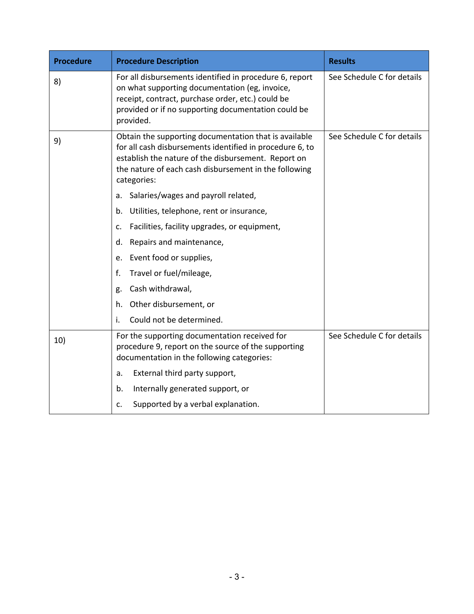| <b>Procedure</b> | <b>Procedure Description</b>                                                                                                                                                                                                                     | <b>Results</b>             |
|------------------|--------------------------------------------------------------------------------------------------------------------------------------------------------------------------------------------------------------------------------------------------|----------------------------|
| 8)               | For all disbursements identified in procedure 6, report<br>on what supporting documentation (eg, invoice,<br>receipt, contract, purchase order, etc.) could be<br>provided or if no supporting documentation could be<br>provided.               | See Schedule C for details |
| 9)               | Obtain the supporting documentation that is available<br>for all cash disbursements identified in procedure 6, to<br>establish the nature of the disbursement. Report on<br>the nature of each cash disbursement in the following<br>categories: | See Schedule C for details |
|                  | Salaries/wages and payroll related,<br>a.                                                                                                                                                                                                        |                            |
|                  | Utilities, telephone, rent or insurance,<br>b.                                                                                                                                                                                                   |                            |
|                  | Facilities, facility upgrades, or equipment,<br>c.                                                                                                                                                                                               |                            |
|                  | Repairs and maintenance,<br>d.                                                                                                                                                                                                                   |                            |
|                  | Event food or supplies,<br>e.                                                                                                                                                                                                                    |                            |
|                  | Travel or fuel/mileage,<br>f.                                                                                                                                                                                                                    |                            |
|                  | Cash withdrawal,<br>g.                                                                                                                                                                                                                           |                            |
|                  | h. Other disbursement, or                                                                                                                                                                                                                        |                            |
|                  | Could not be determined.<br>i.                                                                                                                                                                                                                   |                            |
| 10)              | For the supporting documentation received for<br>procedure 9, report on the source of the supporting<br>documentation in the following categories:                                                                                               | See Schedule C for details |
|                  | External third party support,<br>a.                                                                                                                                                                                                              |                            |
|                  | Internally generated support, or<br>b.                                                                                                                                                                                                           |                            |
|                  | Supported by a verbal explanation.<br>c.                                                                                                                                                                                                         |                            |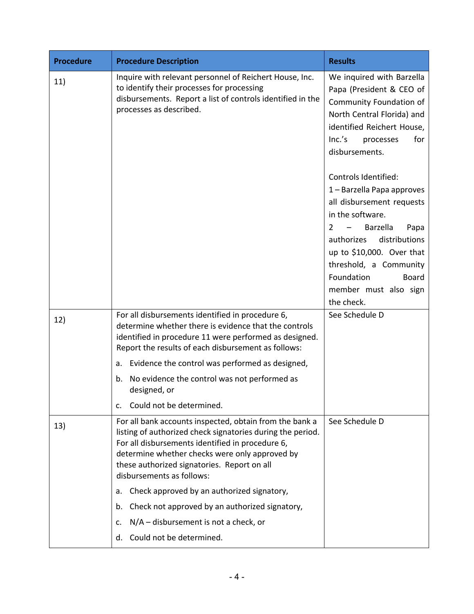| <b>Procedure</b> | <b>Procedure Description</b>                                                                                                                                                                                                                                                                            | <b>Results</b>                                                                                                                                                                                                                                                                                       |  |
|------------------|---------------------------------------------------------------------------------------------------------------------------------------------------------------------------------------------------------------------------------------------------------------------------------------------------------|------------------------------------------------------------------------------------------------------------------------------------------------------------------------------------------------------------------------------------------------------------------------------------------------------|--|
| 11)              | Inquire with relevant personnel of Reichert House, Inc.<br>to identify their processes for processing<br>disbursements. Report a list of controls identified in the<br>processes as described.                                                                                                          | We inquired with Barzella<br>Papa (President & CEO of<br>Community Foundation of<br>North Central Florida) and<br>identified Reichert House,<br>Inc.'s<br>for<br>processes<br>disbursements.                                                                                                         |  |
|                  |                                                                                                                                                                                                                                                                                                         | Controls Identified:<br>1 - Barzella Papa approves<br>all disbursement requests<br>in the software.<br>$\overline{2}$<br>Barzella<br>Papa<br>authorizes<br>distributions<br>up to \$10,000. Over that<br>threshold, a Community<br>Foundation<br><b>Board</b><br>member must also sign<br>the check. |  |
| 12)              | For all disbursements identified in procedure 6,<br>determine whether there is evidence that the controls<br>identified in procedure 11 were performed as designed.<br>Report the results of each disbursement as follows:                                                                              | See Schedule D                                                                                                                                                                                                                                                                                       |  |
|                  | Evidence the control was performed as designed,<br>а.                                                                                                                                                                                                                                                   |                                                                                                                                                                                                                                                                                                      |  |
|                  | No evidence the control was not performed as<br>b.<br>designed, or                                                                                                                                                                                                                                      |                                                                                                                                                                                                                                                                                                      |  |
|                  | Could not be determined.<br>$\mathsf{C}$ .                                                                                                                                                                                                                                                              |                                                                                                                                                                                                                                                                                                      |  |
| 13)              | For all bank accounts inspected, obtain from the bank a<br>listing of authorized check signatories during the period.<br>For all disbursements identified in procedure 6,<br>determine whether checks were only approved by<br>these authorized signatories. Report on all<br>disbursements as follows: | See Schedule D                                                                                                                                                                                                                                                                                       |  |
|                  | Check approved by an authorized signatory,<br>а.                                                                                                                                                                                                                                                        |                                                                                                                                                                                                                                                                                                      |  |
|                  | Check not approved by an authorized signatory,<br>b.                                                                                                                                                                                                                                                    |                                                                                                                                                                                                                                                                                                      |  |
|                  | $N/A$ – disbursement is not a check, or<br>c.                                                                                                                                                                                                                                                           |                                                                                                                                                                                                                                                                                                      |  |
|                  | Could not be determined.<br>d.                                                                                                                                                                                                                                                                          |                                                                                                                                                                                                                                                                                                      |  |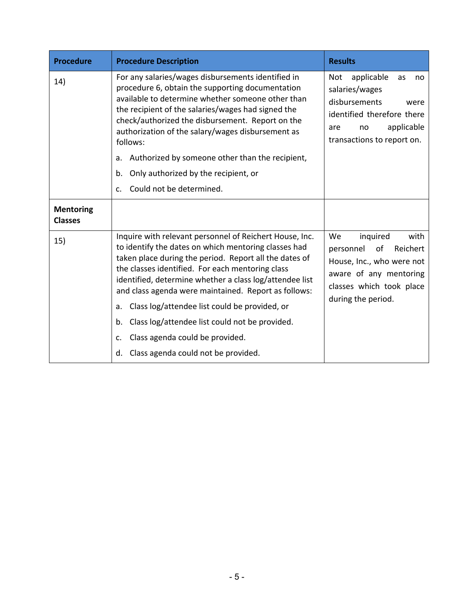| <b>Procedure</b>                   | <b>Procedure Description</b>                                                                                                                                                                                                                                                                                                                                                                                                                                                                                                                          | <b>Results</b>                                                                                                                                                  |  |
|------------------------------------|-------------------------------------------------------------------------------------------------------------------------------------------------------------------------------------------------------------------------------------------------------------------------------------------------------------------------------------------------------------------------------------------------------------------------------------------------------------------------------------------------------------------------------------------------------|-----------------------------------------------------------------------------------------------------------------------------------------------------------------|--|
| 14)                                | For any salaries/wages disbursements identified in<br>procedure 6, obtain the supporting documentation<br>available to determine whether someone other than<br>the recipient of the salaries/wages had signed the<br>check/authorized the disbursement. Report on the<br>authorization of the salary/wages disbursement as<br>follows:                                                                                                                                                                                                                | applicable<br>Not<br>as<br>no<br>salaries/wages<br>disbursements<br>were<br>identified therefore there<br>applicable<br>are<br>no<br>transactions to report on. |  |
|                                    | Authorized by someone other than the recipient,<br>a.                                                                                                                                                                                                                                                                                                                                                                                                                                                                                                 |                                                                                                                                                                 |  |
|                                    | Only authorized by the recipient, or<br>b.                                                                                                                                                                                                                                                                                                                                                                                                                                                                                                            |                                                                                                                                                                 |  |
|                                    | Could not be determined.<br>$C_{\cdot}$                                                                                                                                                                                                                                                                                                                                                                                                                                                                                                               |                                                                                                                                                                 |  |
| <b>Mentoring</b><br><b>Classes</b> |                                                                                                                                                                                                                                                                                                                                                                                                                                                                                                                                                       |                                                                                                                                                                 |  |
| 15)                                | Inquire with relevant personnel of Reichert House, Inc.<br>to identify the dates on which mentoring classes had<br>taken place during the period. Report all the dates of<br>the classes identified. For each mentoring class<br>identified, determine whether a class log/attendee list<br>and class agenda were maintained. Report as follows:<br>Class log/attendee list could be provided, or<br>a.<br>Class log/attendee list could not be provided.<br>b.<br>Class agenda could be provided.<br>c.<br>Class agenda could not be provided.<br>d. | We<br>inquired<br>with<br>personnel of<br>Reichert<br>House, Inc., who were not<br>aware of any mentoring<br>classes which took place<br>during the period.     |  |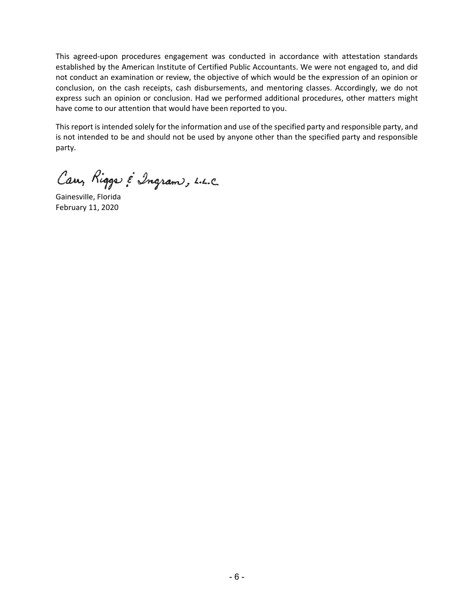This agreed-upon procedures engagement was conducted in accordance with attestation standards established by the American Institute of Certified Public Accountants. We were not engaged to, and did not conduct an examination or review, the objective of which would be the expression of an opinion or conclusion, on the cash receipts, cash disbursements, and mentoring classes. Accordingly, we do not express such an opinion or conclusion. Had we performed additional procedures, other matters might have come to our attention that would have been reported to you.

This report is intended solely for the information and use of the specified party and responsible party, and is not intended to be and should not be used by anyone other than the specified party and responsible party.

Carry Riggs & Ingram, L.L.C.

Gainesville, Florida February 11, 2020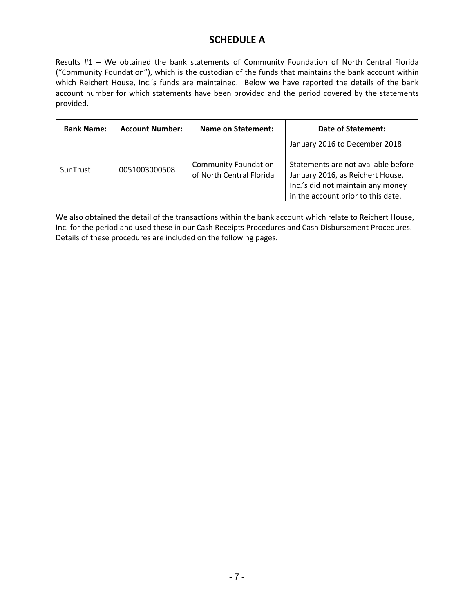# **SCHEDULE A**

Results #1 - We obtained the bank statements of Community Foundation of North Central Florida ("Community Foundation"), which is the custodian of the funds that maintains the bank account within which Reichert House, Inc.'s funds are maintained. Below we have reported the details of the bank account number for which statements have been provided and the period covered by the statements provided.

| <b>Bank Name:</b> | <b>Account Number:</b> | <b>Name on Statement:</b>                               | <b>Date of Statement:</b>                                                                                                                                                           |
|-------------------|------------------------|---------------------------------------------------------|-------------------------------------------------------------------------------------------------------------------------------------------------------------------------------------|
| SunTrust          | 0051003000508          | <b>Community Foundation</b><br>of North Central Florida | January 2016 to December 2018<br>Statements are not available before<br>January 2016, as Reichert House,<br>Inc.'s did not maintain any money<br>in the account prior to this date. |

We also obtained the detail of the transactions within the bank account which relate to Reichert House, Inc. for the period and used these in our Cash Receipts Procedures and Cash Disbursement Procedures. Details of these procedures are included on the following pages.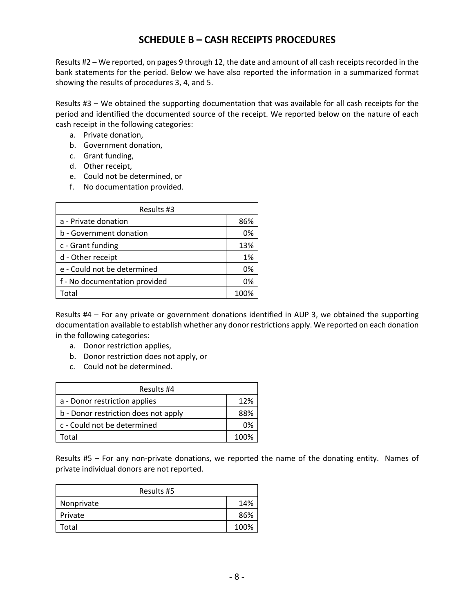## **SCHEDULE B – CASH RECEIPTS PROCEDURES**

Results #2 – We reported, on pages 9 through 12, the date and amount of all cash receipts recorded in the bank statements for the period. Below we have also reported the information in a summarized format showing the results of procedures 3, 4, and 5.

Results #3 – We obtained the supporting documentation that was available for all cash receipts for the period and identified the documented source of the receipt. We reported below on the nature of each cash receipt in the following categories:

- a. Private donation,
- b. Government donation,
- c. Grant funding,
- d. Other receipt,
- e. Could not be determined, or
- f. No documentation provided.

| Results #3                    |      |  |  |
|-------------------------------|------|--|--|
| a - Private donation          | 86%  |  |  |
| b - Government donation       | 0%   |  |  |
| c - Grant funding             | 13%  |  |  |
| d - Other receipt             | 1%   |  |  |
| e - Could not be determined   | 0%   |  |  |
| f - No documentation provided | 0%   |  |  |
| Total                         | 100% |  |  |

Results #4 – For any private or government donations identified in AUP 3, we obtained the supporting documentation available to establish whether any donor restrictions apply. We reported on each donation in the following categories:

- a. Donor restriction applies,
- b. Donor restriction does not apply, or
- c. Could not be determined.

| Results #4                           |      |  |  |
|--------------------------------------|------|--|--|
| a - Donor restriction applies        | 12%  |  |  |
| b - Donor restriction does not apply | 88%  |  |  |
| c - Could not be determined          | በ%   |  |  |
| otal.                                | 100% |  |  |

Results #5 – For any non-private donations, we reported the name of the donating entity. Names of private individual donors are not reported.

| Results #5 |      |  |  |
|------------|------|--|--|
| Nonprivate | 14%  |  |  |
| Private    | 86%  |  |  |
| Total      | 100% |  |  |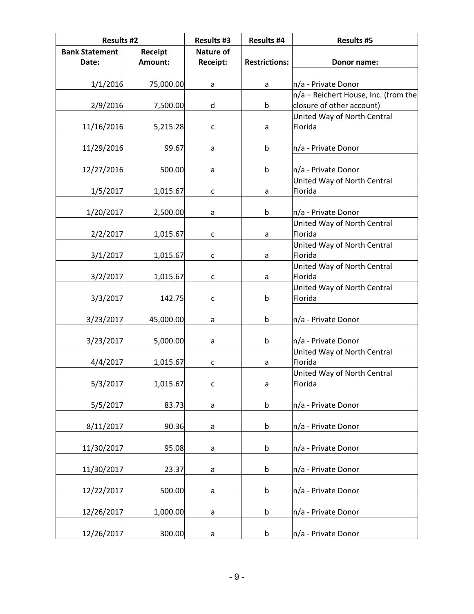| <b>Results #2</b>     |           | <b>Results #3</b> | <b>Results #4</b>    | <b>Results #5</b>                      |
|-----------------------|-----------|-------------------|----------------------|----------------------------------------|
| <b>Bank Statement</b> | Receipt   | <b>Nature of</b>  |                      |                                        |
| Date:                 | Amount:   | Receipt:          | <b>Restrictions:</b> | Donor name:                            |
| 1/1/2016              | 75,000.00 | a                 | a                    | n/a - Private Donor                    |
|                       |           |                   |                      | n/a - Reichert House, Inc. (from the   |
| 2/9/2016              | 7,500.00  | d                 | b                    | closure of other account)              |
|                       |           |                   |                      | United Way of North Central            |
| 11/16/2016            | 5,215.28  | c                 | a                    | Florida                                |
| 11/29/2016            | 99.67     | a                 | $\mathsf b$          | n/a - Private Donor                    |
|                       |           |                   |                      |                                        |
| 12/27/2016            | 500.00    | a                 | b                    | n/a - Private Donor                    |
|                       |           |                   |                      | United Way of North Central            |
| 1/5/2017              | 1,015.67  | $\mathsf{C}$      | a                    | Florida                                |
| 1/20/2017             | 2,500.00  | a                 | $\mathsf b$          | n/a - Private Donor                    |
|                       |           |                   |                      | United Way of North Central            |
| 2/2/2017              | 1,015.67  | c                 | a                    | Florida                                |
|                       |           |                   |                      | United Way of North Central            |
| 3/1/2017              | 1,015.67  | $\mathsf{C}$      | a                    | Florida<br>United Way of North Central |
| 3/2/2017              | 1,015.67  | C                 | a                    | Florida                                |
|                       |           |                   |                      | United Way of North Central            |
| 3/3/2017              | 142.75    | С                 | b                    | Florida                                |
| 3/23/2017             | 45,000.00 | $\mathsf{a}$      | $\mathsf b$          | n/a - Private Donor                    |
|                       |           |                   |                      |                                        |
| 3/23/2017             | 5,000.00  | $\mathsf{a}$      | $\mathsf b$          | n/a - Private Donor                    |
|                       |           |                   |                      | United Way of North Central            |
| 4/4/2017              | 1,015.67  | с                 | a                    | Florida                                |
| 5/3/2017              | 1,015.67  | $\mathsf{C}$      | a                    | United Way of North Central<br>Florida |
|                       |           |                   |                      |                                        |
| 5/5/2017              | 83.73     | $\mathsf a$       | b                    | n/a - Private Donor                    |
|                       |           |                   |                      |                                        |
| 8/11/2017             | 90.36     | a                 | b                    | n/a - Private Donor                    |
| 11/30/2017            | 95.08     | a                 | b                    | n/a - Private Donor                    |
|                       |           |                   |                      |                                        |
| 11/30/2017            | 23.37     | a                 | b                    | n/a - Private Donor                    |
| 12/22/2017            | 500.00    | a                 | b                    | n/a - Private Donor                    |
|                       |           |                   |                      |                                        |
| 12/26/2017            | 1,000.00  | a                 | b                    | n/a - Private Donor                    |
|                       |           |                   |                      |                                        |
| 12/26/2017            | 300.00    | a                 | b                    | n/a - Private Donor                    |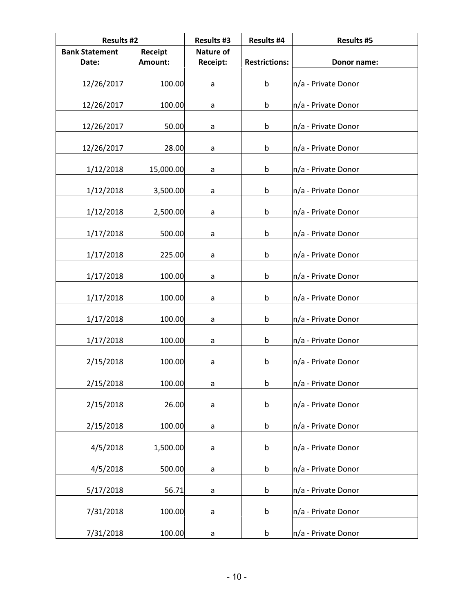| <b>Results #2</b>     |           | <b>Results #3</b> | <b>Results #4</b>    | <b>Results #5</b>   |
|-----------------------|-----------|-------------------|----------------------|---------------------|
| <b>Bank Statement</b> | Receipt   | <b>Nature of</b>  |                      |                     |
| Date:                 | Amount:   | Receipt:          | <b>Restrictions:</b> | Donor name:         |
| 12/26/2017            | 100.00    | a                 | $\mathsf b$          | n/a - Private Donor |
| 12/26/2017            | 100.00    | a                 | $\mathsf b$          | n/a - Private Donor |
| 12/26/2017            | 50.00     | a                 | $\mathsf b$          | n/a - Private Donor |
| 12/26/2017            | 28.00     | a                 | b                    | n/a - Private Donor |
| 1/12/2018             | 15,000.00 | a                 | b                    | n/a - Private Donor |
| 1/12/2018             | 3,500.00  | a                 | $\mathsf b$          | n/a - Private Donor |
| 1/12/2018             | 2,500.00  | a                 | b                    | n/a - Private Donor |
| 1/17/2018             | 500.00    | a                 | $\mathsf b$          | n/a - Private Donor |
| 1/17/2018             | 225.00    | a                 | $\mathsf b$          | n/a - Private Donor |
| 1/17/2018             | 100.00    | a                 | b                    | n/a - Private Donor |
| 1/17/2018             | 100.00    | a                 | $\sf b$              | n/a - Private Donor |
| 1/17/2018             | 100.00    | a                 | $\mathsf b$          | n/a - Private Donor |
| 1/17/2018             | 100.00    | a                 | b                    | n/a - Private Donor |
| 2/15/2018             | 100.00    | a                 | $\mathsf b$          | n/a - Private Donor |
| 2/15/2018             | 100.00    | a                 | b                    | n/a - Private Donor |
| 2/15/2018             | 26.00     | $\mathsf a$       | $\sf b$              | n/a - Private Donor |
| 2/15/2018             | 100.00    | a                 | $\mathsf b$          | n/a - Private Donor |
| 4/5/2018              | 1,500.00  | a                 | b                    | n/a - Private Donor |
| 4/5/2018              | 500.00    | $\mathsf a$       | $\mathsf b$          | n/a - Private Donor |
| 5/17/2018             | 56.71     | a                 | $\mathsf b$          | n/a - Private Donor |
| 7/31/2018             | 100.00    | a                 | b                    | n/a - Private Donor |
| 7/31/2018             | 100.00    | a                 | b                    | n/a - Private Donor |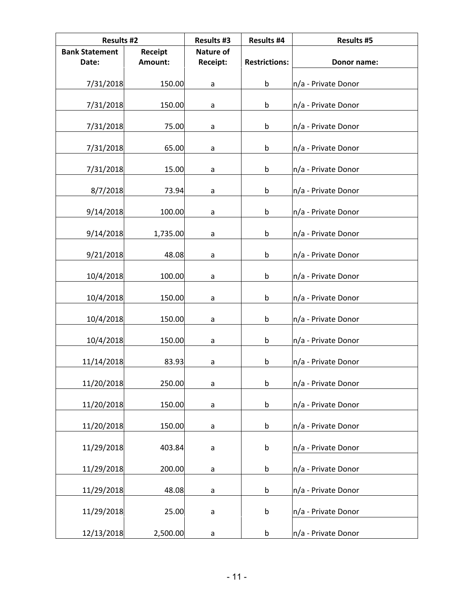| <b>Results #2</b>     |          | <b>Results #3</b> | <b>Results #4</b>    | <b>Results #5</b>   |
|-----------------------|----------|-------------------|----------------------|---------------------|
| <b>Bank Statement</b> | Receipt  | <b>Nature of</b>  |                      |                     |
| Date:                 | Amount:  | Receipt:          | <b>Restrictions:</b> | Donor name:         |
| 7/31/2018             | 150.00   | a                 | $\mathsf b$          | n/a - Private Donor |
| 7/31/2018             | 150.00   | a                 | $\mathsf b$          | n/a - Private Donor |
| 7/31/2018             | 75.00    | a                 | $\mathsf b$          | n/a - Private Donor |
| 7/31/2018             | 65.00    | a                 | b                    | n/a - Private Donor |
| 7/31/2018             | 15.00    | a                 | b                    | n/a - Private Donor |
| 8/7/2018              | 73.94    | a                 | $\mathsf b$          | n/a - Private Donor |
| 9/14/2018             | 100.00   | a                 | b                    | n/a - Private Donor |
| 9/14/2018             | 1,735.00 | a                 | $\mathsf b$          | n/a - Private Donor |
| 9/21/2018             | 48.08    | a                 | $\mathsf b$          | n/a - Private Donor |
| 10/4/2018             | 100.00   | a                 | b                    | n/a - Private Donor |
| 10/4/2018             | 150.00   | a                 | $\sf b$              | n/a - Private Donor |
| 10/4/2018             | 150.00   | a                 | $\mathsf b$          | n/a - Private Donor |
| 10/4/2018             | 150.00   | a                 | b                    | n/a - Private Donor |
| 11/14/2018            | 83.93    | a                 | b                    | n/a - Private Donor |
| 11/20/2018            | 250.00   | a                 | b                    | n/a - Private Donor |
| 11/20/2018            | 150.00   | $\mathsf a$       | $\sf b$              | n/a - Private Donor |
| 11/20/2018            | 150.00   | a                 | $\mathsf b$          | n/a - Private Donor |
| 11/29/2018            | 403.84   | a                 | b                    | n/a - Private Donor |
| 11/29/2018            | 200.00   | $\mathsf a$       | $\mathsf b$          | n/a - Private Donor |
| 11/29/2018            | 48.08    | a                 | $\mathsf b$          | n/a - Private Donor |
| 11/29/2018            | 25.00    | a                 | $\sf b$              | n/a - Private Donor |
| 12/13/2018            | 2,500.00 | a                 | b                    | n/a - Private Donor |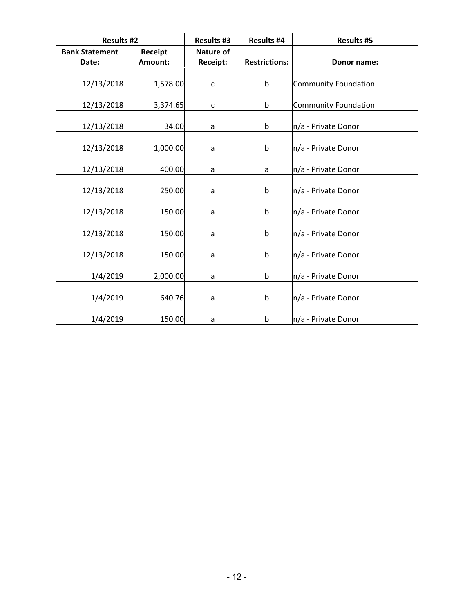|                       | <b>Results #2</b> |                  | <b>Results #4</b>    | <b>Results #5</b>           |
|-----------------------|-------------------|------------------|----------------------|-----------------------------|
| <b>Bank Statement</b> | Receipt           | <b>Nature of</b> |                      |                             |
| Date:                 | Amount:           | Receipt:         | <b>Restrictions:</b> | Donor name:                 |
|                       |                   |                  |                      |                             |
| 12/13/2018            | 1,578.00          | $\mathsf{C}$     | b                    | <b>Community Foundation</b> |
|                       |                   |                  |                      |                             |
| 12/13/2018            | 3,374.65          | $\mathsf{C}$     | b                    | <b>Community Foundation</b> |
| 12/13/2018            | 34.00             | a                | b                    | n/a - Private Donor         |
|                       |                   |                  |                      |                             |
| 12/13/2018            | 1,000.00          | a                | b                    | n/a - Private Donor         |
| 12/13/2018            | 400.00            | a                | a                    | n/a - Private Donor         |
| 12/13/2018            | 250.00            | a                | b                    | n/a - Private Donor         |
|                       |                   |                  |                      |                             |
| 12/13/2018            | 150.00            | a                | b                    | n/a - Private Donor         |
| 12/13/2018            | 150.00            | a                | b                    | n/a - Private Donor         |
|                       |                   |                  |                      |                             |
| 12/13/2018            | 150.00            | a                | b                    | n/a - Private Donor         |
|                       |                   |                  |                      |                             |
| 1/4/2019              | 2,000.00          | a                | b                    | n/a - Private Donor         |
|                       |                   |                  |                      |                             |
| 1/4/2019              | 640.76            | а                | b                    | n/a - Private Donor         |
| 1/4/2019              | 150.00            | а                | b                    | n/a - Private Donor         |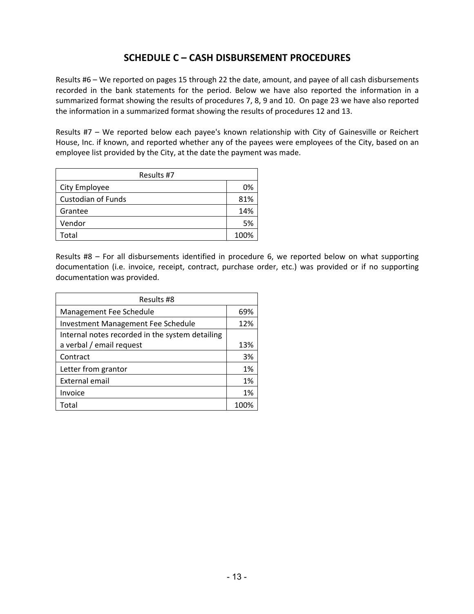### **SCHEDULE C – CASH DISBURSEMENT PROCEDURES**

Results #6 – We reported on pages 15 through 22 the date, amount, and payee of all cash disbursements recorded in the bank statements for the period. Below we have also reported the information in a summarized format showing the results of procedures 7, 8, 9 and 10. On page 23 we have also reported the information in a summarized format showing the results of procedures 12 and 13.

Results #7 - We reported below each payee's known relationship with City of Gainesville or Reichert House, Inc. if known, and reported whether any of the payees were employees of the City, based on an employee list provided by the City, at the date the payment was made.

| Results #7                |      |  |  |
|---------------------------|------|--|--|
| City Employee             | 0%   |  |  |
| <b>Custodian of Funds</b> | 81%  |  |  |
| Grantee                   | 14%  |  |  |
| Vendor                    | 5%   |  |  |
| <b>Total</b>              | 100% |  |  |

Results #8 - For all disbursements identified in procedure 6, we reported below on what supporting documentation (i.e. invoice, receipt, contract, purchase order, etc.) was provided or if no supporting documentation was provided.

| Results #8                                      |      |  |  |  |
|-------------------------------------------------|------|--|--|--|
| Management Fee Schedule                         | 69%  |  |  |  |
| <b>Investment Management Fee Schedule</b>       | 12%  |  |  |  |
| Internal notes recorded in the system detailing |      |  |  |  |
| a verbal / email request                        | 13%  |  |  |  |
| Contract                                        | 3%   |  |  |  |
| Letter from grantor                             | 1%   |  |  |  |
| External email                                  | 1%   |  |  |  |
| Invoice                                         | 1%   |  |  |  |
| Total                                           | 100% |  |  |  |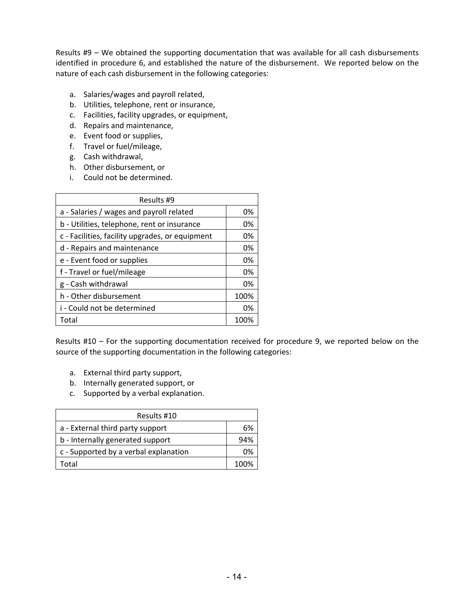Results  $#9 -$  We obtained the supporting documentation that was available for all cash disbursements identified in procedure 6, and established the nature of the disbursement. We reported below on the nature of each cash disbursement in the following categories:

- a. Salaries/wages and payroll related,
- b. Utilities, telephone, rent or insurance,
- c. Facilities, facility upgrades, or equipment,
- d. Repairs and maintenance,
- e. Event food or supplies,
- f. Travel or fuel/mileage,
- g. Cash withdrawal,
- h. Other disbursement, or
- i. Could not be determined.

| Results #9                                      |      |  |  |  |
|-------------------------------------------------|------|--|--|--|
| a - Salaries / wages and payroll related        | 0%   |  |  |  |
| b - Utilities, telephone, rent or insurance     | 0%   |  |  |  |
| c - Facilities, facility upgrades, or equipment | 0%   |  |  |  |
| d - Repairs and maintenance                     | 0%   |  |  |  |
| e - Event food or supplies                      | 0%   |  |  |  |
| f - Travel or fuel/mileage                      | 0%   |  |  |  |
| g - Cash withdrawal                             | 0%   |  |  |  |
| h - Other disbursement                          | 100% |  |  |  |
| i - Could not be determined                     | 0%   |  |  |  |
| Total                                           | 100% |  |  |  |

Results  $#10$  – For the supporting documentation received for procedure 9, we reported below on the source of the supporting documentation in the following categories:

- a. External third party support,
- b. Internally generated support, or
- c. Supported by a verbal explanation.

| Results #10                           |      |  |  |
|---------------------------------------|------|--|--|
| a - External third party support      | 6%   |  |  |
| b - Internally generated support      | 94%  |  |  |
| c - Supported by a verbal explanation | 0%   |  |  |
| otal.                                 | 100% |  |  |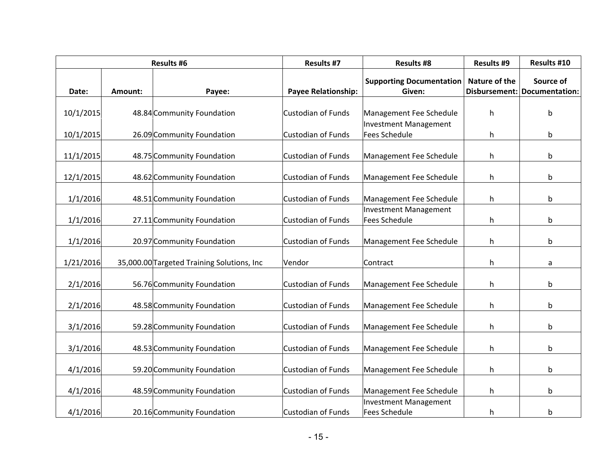| <b>Results #6</b> |         | <b>Results #7</b>                          | <b>Results #8</b>          | <b>Results #9</b>                                    | Results #10   |                                           |
|-------------------|---------|--------------------------------------------|----------------------------|------------------------------------------------------|---------------|-------------------------------------------|
| Date:             | Amount: | Payee:                                     | <b>Payee Relationship:</b> | <b>Supporting Documentation</b><br>Given:            | Nature of the | Source of<br>Disbursement: Documentation: |
| 10/1/2015         |         | 48.84 Community Foundation                 | <b>Custodian of Funds</b>  | Management Fee Schedule                              | h             | b                                         |
| 10/1/2015         |         | 26.09 Community Foundation                 | <b>Custodian of Funds</b>  | <b>Investment Management</b><br><b>Fees Schedule</b> | h.            | b                                         |
| 11/1/2015         |         | 48.75 Community Foundation                 | <b>Custodian of Funds</b>  | Management Fee Schedule                              | h             | b                                         |
| 12/1/2015         |         | 48.62 Community Foundation                 | <b>Custodian of Funds</b>  | Management Fee Schedule                              | h             | b                                         |
| 1/1/2016          |         | 48.51 Community Foundation                 | <b>Custodian of Funds</b>  | Management Fee Schedule                              | h.            | b                                         |
| 1/1/2016          |         | 27.11 Community Foundation                 | <b>Custodian of Funds</b>  | <b>Investment Management</b><br><b>Fees Schedule</b> | h             | b                                         |
| 1/1/2016          |         | 20.97 Community Foundation                 | <b>Custodian of Funds</b>  | Management Fee Schedule                              | h             | b                                         |
| 1/21/2016         |         | 35,000.00 Targeted Training Solutions, Inc | Vendor                     | Contract                                             | h             | a                                         |
| 2/1/2016          |         | 56.76 Community Foundation                 | <b>Custodian of Funds</b>  | Management Fee Schedule                              | h             | b                                         |
| 2/1/2016          |         | 48.58 Community Foundation                 | <b>Custodian of Funds</b>  | Management Fee Schedule                              | h.            | b                                         |
| 3/1/2016          |         | 59.28 Community Foundation                 | <b>Custodian of Funds</b>  | Management Fee Schedule                              | h.            | b                                         |
| 3/1/2016          |         | 48.53 Community Foundation                 | <b>Custodian of Funds</b>  | Management Fee Schedule                              | h.            | b                                         |
| 4/1/2016          |         | 59.20 Community Foundation                 | <b>Custodian of Funds</b>  | Management Fee Schedule                              | h             | b                                         |
| 4/1/2016          |         | 48.59 Community Foundation                 | Custodian of Funds         | Management Fee Schedule                              | h             | b                                         |
| 4/1/2016          |         | 20.16 Community Foundation                 | <b>Custodian of Funds</b>  | <b>Investment Management</b><br><b>Fees Schedule</b> | h.            | b                                         |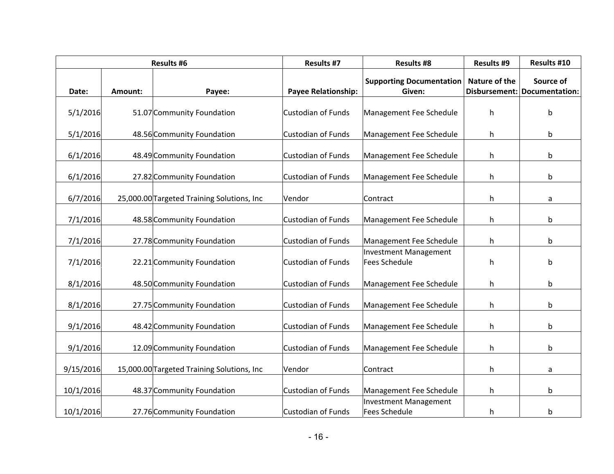| <b>Results #6</b> |         | <b>Results #7</b>                          | <b>Results #8</b>          | <b>Results #9</b>                         | Results #10   |                                           |
|-------------------|---------|--------------------------------------------|----------------------------|-------------------------------------------|---------------|-------------------------------------------|
| Date:             | Amount: | Payee:                                     | <b>Payee Relationship:</b> | <b>Supporting Documentation</b><br>Given: | Nature of the | Source of<br>Disbursement: Documentation: |
| 5/1/2016          |         | 51.07 Community Foundation                 | Custodian of Funds         | Management Fee Schedule                   | h             | b                                         |
| 5/1/2016          |         | 48.56 Community Foundation                 | Custodian of Funds         | Management Fee Schedule                   | h             | b                                         |
| 6/1/2016          |         | 48.49 Community Foundation                 | Custodian of Funds         | Management Fee Schedule                   | h.            | b                                         |
| 6/1/2016          |         | 27.82 Community Foundation                 | Custodian of Funds         | Management Fee Schedule                   | h             | b                                         |
| 6/7/2016          |         | 25,000.00 Targeted Training Solutions, Inc | Vendor                     | Contract                                  | h.            | a                                         |
| 7/1/2016          |         | 48.58 Community Foundation                 | Custodian of Funds         | Management Fee Schedule                   | h.            | b                                         |
| 7/1/2016          |         | 27.78 Community Foundation                 | Custodian of Funds         | Management Fee Schedule                   | h.            | b                                         |
| 7/1/2016          |         | 22.21 Community Foundation                 | Custodian of Funds         | Investment Management<br>Fees Schedule    | h             | b                                         |
| 8/1/2016          |         | 48.50 Community Foundation                 | Custodian of Funds         | Management Fee Schedule                   | h             | b                                         |
| 8/1/2016          |         | 27.75 Community Foundation                 | Custodian of Funds         | Management Fee Schedule                   | h             | b                                         |
| 9/1/2016          |         | 48.42 Community Foundation                 | Custodian of Funds         | Management Fee Schedule                   | h             | b                                         |
| 9/1/2016          |         | 12.09 Community Foundation                 | Custodian of Funds         | Management Fee Schedule                   | h.            | b                                         |
| 9/15/2016         |         | 15,000.00 Targeted Training Solutions, Inc | Vendor                     | Contract                                  | h.            | a                                         |
| 10/1/2016         |         | 48.37 Community Foundation                 | Custodian of Funds         | Management Fee Schedule                   | h             | b                                         |
| 10/1/2016         |         | 27.76 Community Foundation                 | Custodian of Funds         | Investment Management<br>Fees Schedule    | h.            | b                                         |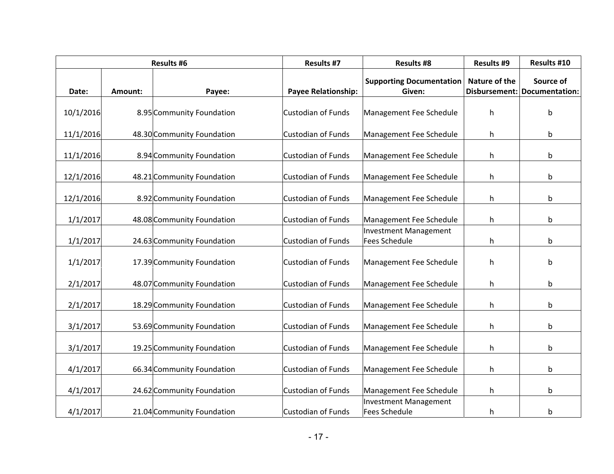| <b>Results #6</b> |         | <b>Results #7</b>          | <b>Results #8</b>          | <b>Results #9</b>                         | Results #10   |                                           |
|-------------------|---------|----------------------------|----------------------------|-------------------------------------------|---------------|-------------------------------------------|
| Date:             | Amount: | Payee:                     | <b>Payee Relationship:</b> | <b>Supporting Documentation</b><br>Given: | Nature of the | Source of<br>Disbursement: Documentation: |
| 10/1/2016         |         | 8.95 Community Foundation  | Custodian of Funds         | Management Fee Schedule                   | h             |                                           |
|                   |         |                            |                            |                                           |               | b                                         |
| 11/1/2016         |         | 48.30 Community Foundation | Custodian of Funds         | Management Fee Schedule                   | h             | b                                         |
| 11/1/2016         |         | 8.94 Community Foundation  | Custodian of Funds         | Management Fee Schedule                   | h.            | b                                         |
| 12/1/2016         |         | 48.21 Community Foundation | Custodian of Funds         | Management Fee Schedule                   | h             | b                                         |
| 12/1/2016         |         | 8.92 Community Foundation  | Custodian of Funds         | Management Fee Schedule                   | h.            | b                                         |
| 1/1/2017          |         | 48.08 Community Foundation | Custodian of Funds         | Management Fee Schedule                   | h.            | b                                         |
| 1/1/2017          |         | 24.63 Community Foundation | Custodian of Funds         | Investment Management<br>Fees Schedule    | h.            | b                                         |
| 1/1/2017          |         | 17.39 Community Foundation | Custodian of Funds         | Management Fee Schedule                   | h             | b                                         |
| 2/1/2017          |         | 48.07 Community Foundation | Custodian of Funds         | Management Fee Schedule                   | h             | b                                         |
| 2/1/2017          |         | 18.29 Community Foundation | Custodian of Funds         | Management Fee Schedule                   | h             | b                                         |
| 3/1/2017          |         | 53.69 Community Foundation | Custodian of Funds         | Management Fee Schedule                   | h             | b                                         |
| 3/1/2017          |         | 19.25 Community Foundation | Custodian of Funds         | Management Fee Schedule                   | h.            | b                                         |
| 4/1/2017          |         | 66.34 Community Foundation | Custodian of Funds         | Management Fee Schedule                   | h             | b                                         |
| 4/1/2017          |         | 24.62 Community Foundation | Custodian of Funds         | Management Fee Schedule                   | h             | b                                         |
| 4/1/2017          |         | 21.04 Community Foundation | Custodian of Funds         | Investment Management<br>Fees Schedule    | h.            | b                                         |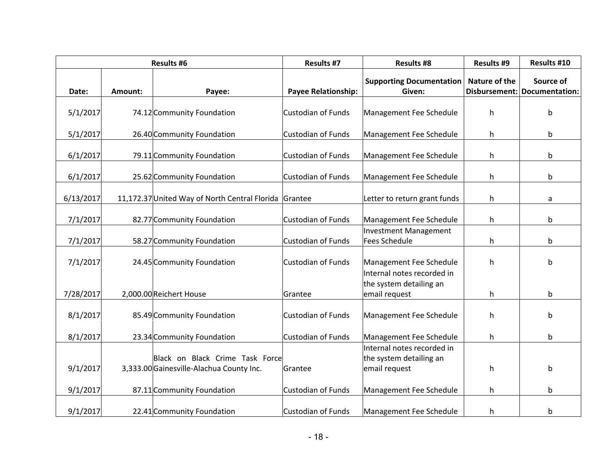| <b>Results #6</b> |                | <b>Results #7</b>                                                           | <b>Results #8</b>          | <b>Results #9</b>                                                      | Results #10   |                                           |
|-------------------|----------------|-----------------------------------------------------------------------------|----------------------------|------------------------------------------------------------------------|---------------|-------------------------------------------|
| Date:             | <b>Amount:</b> | Payee:                                                                      | <b>Payee Relationship:</b> | <b>Supporting Documentation</b><br>Given:                              | Nature of the | Source of<br>Disbursement: Documentation: |
|                   |                |                                                                             |                            |                                                                        |               |                                           |
| 5/1/2017          |                | 74.12 Community Foundation                                                  | <b>Custodian of Funds</b>  | Management Fee Schedule                                                | h.            | b                                         |
| 5/1/2017          |                | 26.40 Community Foundation                                                  | <b>Custodian of Funds</b>  | Management Fee Schedule                                                | h             | b                                         |
| 6/1/2017          |                | 79.11 Community Foundation                                                  | <b>Custodian of Funds</b>  | Management Fee Schedule                                                | h             | b                                         |
| 6/1/2017          |                | 25.62 Community Foundation                                                  | <b>Custodian of Funds</b>  | Management Fee Schedule                                                | h             | b                                         |
| 6/13/2017         |                | 11,172.37 United Way of North Central Florida Grantee                       |                            | Letter to return grant funds                                           | h             | a                                         |
| 7/1/2017          |                | 82.77 Community Foundation                                                  | <b>Custodian of Funds</b>  | Management Fee Schedule                                                | h             | b                                         |
| 7/1/2017          |                | 58.27 Community Foundation                                                  | <b>Custodian of Funds</b>  | <b>Investment Management</b><br><b>Fees Schedule</b>                   | h             | b                                         |
| 7/1/2017          |                | 24.45 Community Foundation                                                  | Custodian of Funds         | Management Fee Schedule                                                | h.            | b                                         |
| 7/28/2017         |                | 2,000.00 Reichert House                                                     | Grantee                    | Internal notes recorded in<br>the system detailing an<br>email request | h.            | b                                         |
| 8/1/2017          |                | 85.49 Community Foundation                                                  | <b>Custodian of Funds</b>  | Management Fee Schedule                                                | h             | b                                         |
| 8/1/2017          |                | 23.34 Community Foundation                                                  | <b>Custodian of Funds</b>  | Management Fee Schedule                                                | h.            | b                                         |
| 9/1/2017          |                | Black on Black Crime Task Force<br>3,333.00 Gainesville-Alachua County Inc. | Grantee                    | Internal notes recorded in<br>the system detailing an<br>email request | h.            | b                                         |
|                   |                |                                                                             |                            |                                                                        |               |                                           |
| 9/1/2017          |                | 87.11 Community Foundation                                                  | <b>Custodian of Funds</b>  | Management Fee Schedule                                                | h.            | b                                         |
| 9/1/2017          |                | 22.41 Community Foundation                                                  | <b>Custodian of Funds</b>  | Management Fee Schedule                                                | h             | b                                         |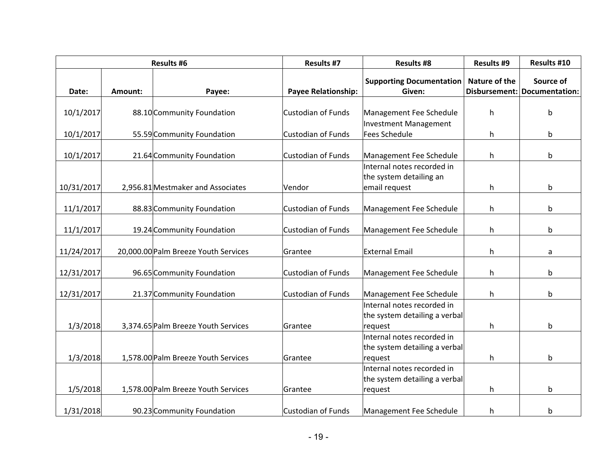| <b>Results #6</b> |         | <b>Results #7</b>                    | <b>Results #8</b>          | <b>Results #9</b>                         | Results #10   |                                           |
|-------------------|---------|--------------------------------------|----------------------------|-------------------------------------------|---------------|-------------------------------------------|
| Date:             | Amount: | Payee:                               | <b>Payee Relationship:</b> | <b>Supporting Documentation</b><br>Given: | Nature of the | Source of<br>Disbursement: Documentation: |
|                   |         |                                      |                            |                                           |               |                                           |
| 10/1/2017         |         | 88.10 Community Foundation           | Custodian of Funds         | Management Fee Schedule                   | h             | b                                         |
|                   |         |                                      |                            | Investment Management                     |               |                                           |
| 10/1/2017         |         | 55.59 Community Foundation           | Custodian of Funds         | Fees Schedule                             | h.            | b                                         |
|                   |         |                                      |                            |                                           |               |                                           |
| 10/1/2017         |         | 21.64 Community Foundation           | Custodian of Funds         | Management Fee Schedule                   | h             | b                                         |
|                   |         |                                      |                            | Internal notes recorded in                |               |                                           |
|                   |         |                                      |                            | the system detailing an                   |               |                                           |
| 10/31/2017        |         | 2,956.81 Mestmaker and Associates    | Vendor                     | email request                             | h.            | b                                         |
|                   |         |                                      |                            |                                           |               |                                           |
| 11/1/2017         |         | 88.83 Community Foundation           | Custodian of Funds         | Management Fee Schedule                   | h.            | b                                         |
|                   |         |                                      | Custodian of Funds         |                                           |               |                                           |
| 11/1/2017         |         | 19.24 Community Foundation           |                            | Management Fee Schedule                   | h             | b                                         |
| 11/24/2017        |         | 20,000.00 Palm Breeze Youth Services | Grantee                    | <b>External Email</b>                     | h             | a                                         |
|                   |         |                                      |                            |                                           |               |                                           |
| 12/31/2017        |         | 96.65 Community Foundation           | Custodian of Funds         | Management Fee Schedule                   | h.            | b                                         |
|                   |         |                                      |                            |                                           |               |                                           |
| 12/31/2017        |         | 21.37 Community Foundation           | Custodian of Funds         | Management Fee Schedule                   | h             | b                                         |
|                   |         |                                      |                            | Internal notes recorded in                |               |                                           |
|                   |         |                                      |                            | the system detailing a verbal             |               |                                           |
| 1/3/2018          |         | 3,374.65 Palm Breeze Youth Services  | Grantee                    | request                                   | h             | b                                         |
|                   |         |                                      |                            | Internal notes recorded in                |               |                                           |
|                   |         |                                      |                            | the system detailing a verbal             |               |                                           |
| 1/3/2018          |         | 1,578.00 Palm Breeze Youth Services  | Grantee                    | request                                   | h             | b                                         |
|                   |         |                                      |                            | Internal notes recorded in                |               |                                           |
|                   |         |                                      |                            | the system detailing a verbal             |               |                                           |
| 1/5/2018          |         | 1,578.00 Palm Breeze Youth Services  | Grantee                    | request                                   | h.            | b                                         |
|                   |         |                                      |                            |                                           |               |                                           |
| 1/31/2018         |         | 90.23 Community Foundation           | Custodian of Funds         | Management Fee Schedule                   | h             | b                                         |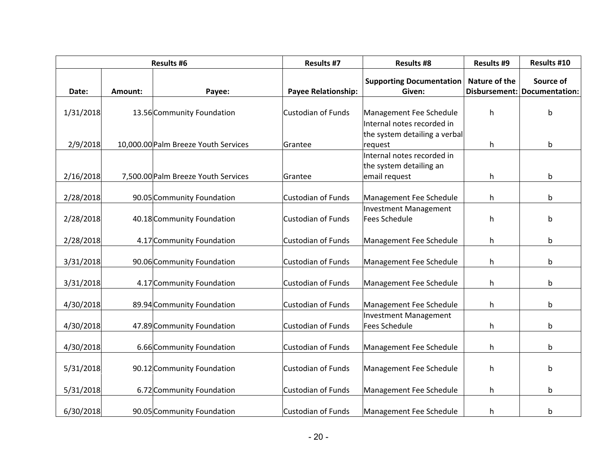| Results #6 |         | <b>Results #7</b>                    | <b>Results #8</b>          | <b>Results #9</b>                                                      | Results #10   |                                           |
|------------|---------|--------------------------------------|----------------------------|------------------------------------------------------------------------|---------------|-------------------------------------------|
| Date:      | Amount: | Payee:                               | <b>Payee Relationship:</b> | <b>Supporting Documentation</b><br>Given:                              | Nature of the | Source of<br>Disbursement: Documentation: |
| 1/31/2018  |         | 13.56 Community Foundation           | <b>Custodian of Funds</b>  | Management Fee Schedule                                                | h             | b                                         |
| 2/9/2018   |         | 10,000.00 Palm Breeze Youth Services | Grantee                    | Internal notes recorded in<br>the system detailing a verbal<br>request | h.            | b                                         |
| 2/16/2018  |         | 7,500.00 Palm Breeze Youth Services  | Grantee                    | Internal notes recorded in<br>the system detailing an<br>email request | h             | b                                         |
| 2/28/2018  |         | 90.05 Community Foundation           | <b>Custodian of Funds</b>  | Management Fee Schedule                                                | h.            | b                                         |
| 2/28/2018  |         | 40.18 Community Foundation           | <b>Custodian of Funds</b>  | <b>Investment Management</b><br><b>Fees Schedule</b>                   | h             | b                                         |
| 2/28/2018  |         | 4.17 Community Foundation            | <b>Custodian of Funds</b>  | Management Fee Schedule                                                | h             | b                                         |
| 3/31/2018  |         | 90.06 Community Foundation           | <b>Custodian of Funds</b>  | Management Fee Schedule                                                | h             | b                                         |
| 3/31/2018  |         | 4.17 Community Foundation            | <b>Custodian of Funds</b>  | Management Fee Schedule                                                | h             | b                                         |
| 4/30/2018  |         | 89.94 Community Foundation           | <b>Custodian of Funds</b>  | Management Fee Schedule                                                | h             | b                                         |
| 4/30/2018  |         | 47.89 Community Foundation           | Custodian of Funds         | <b>Investment Management</b><br><b>Fees Schedule</b>                   | h             | b                                         |
| 4/30/2018  |         | 6.66 Community Foundation            | <b>Custodian of Funds</b>  | Management Fee Schedule                                                | h.            | b                                         |
| 5/31/2018  |         | 90.12 Community Foundation           | <b>Custodian of Funds</b>  | Management Fee Schedule                                                | h             | b                                         |
| 5/31/2018  |         | 6.72 Community Foundation            | <b>Custodian of Funds</b>  | Management Fee Schedule                                                | h             | b                                         |
| 6/30/2018  |         | 90.05 Community Foundation           | <b>Custodian of Funds</b>  | Management Fee Schedule                                                | h             | b                                         |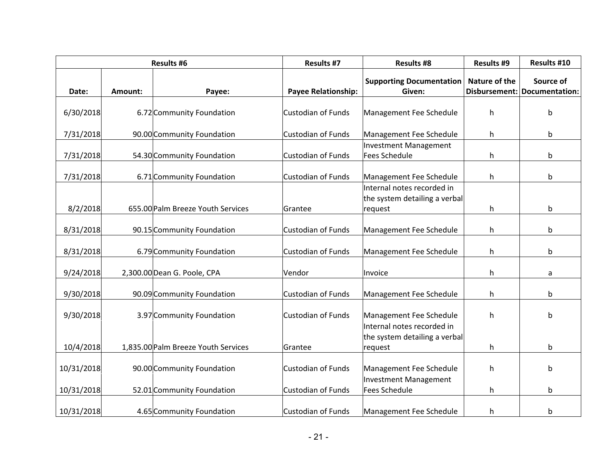| <b>Results #6</b> |         | <b>Results #7</b>                   | <b>Results #8</b>          | <b>Results #9</b>                                                      | Results #10   |                                           |
|-------------------|---------|-------------------------------------|----------------------------|------------------------------------------------------------------------|---------------|-------------------------------------------|
| Date:             | Amount: | Payee:                              | <b>Payee Relationship:</b> | <b>Supporting Documentation</b><br>Given:                              | Nature of the | Source of<br>Disbursement: Documentation: |
| 6/30/2018         |         | 6.72 Community Foundation           | <b>Custodian of Funds</b>  | Management Fee Schedule                                                | h             | b                                         |
| 7/31/2018         |         | 90.00 Community Foundation          | <b>Custodian of Funds</b>  | Management Fee Schedule                                                | h             | b                                         |
| 7/31/2018         |         | 54.30 Community Foundation          | <b>Custodian of Funds</b>  | Investment Management<br>Fees Schedule                                 | h.            | b                                         |
| 7/31/2018         |         | 6.71 Community Foundation           | <b>Custodian of Funds</b>  | Management Fee Schedule                                                | h             | b                                         |
| 8/2/2018          |         | 655.00 Palm Breeze Youth Services   | Grantee                    | Internal notes recorded in<br>the system detailing a verbal<br>request | h             | b                                         |
| 8/31/2018         |         | 90.15 Community Foundation          | <b>Custodian of Funds</b>  | Management Fee Schedule                                                | h             | b                                         |
| 8/31/2018         |         | 6.79 Community Foundation           | <b>Custodian of Funds</b>  | Management Fee Schedule                                                | h.            | b                                         |
| 9/24/2018         |         | 2,300.00 Dean G. Poole, CPA         | Vendor                     | Invoice                                                                | h.            | a                                         |
| 9/30/2018         |         | 90.09 Community Foundation          | <b>Custodian of Funds</b>  | Management Fee Schedule                                                | h.            | b                                         |
| 9/30/2018         |         | 3.97 Community Foundation           | <b>Custodian of Funds</b>  | Management Fee Schedule                                                | h             | b                                         |
| 10/4/2018         |         | 1,835.00 Palm Breeze Youth Services | Grantee                    | Internal notes recorded in<br>the system detailing a verbal<br>request | h.            | b                                         |
| 10/31/2018        |         | 90.00 Community Foundation          | <b>Custodian of Funds</b>  | Management Fee Schedule                                                | h             | b                                         |
| 10/31/2018        |         | 52.01 Community Foundation          | <b>Custodian of Funds</b>  | <b>Investment Management</b><br>Fees Schedule                          | h             | b                                         |
| 10/31/2018        |         | 4.65 Community Foundation           | <b>Custodian of Funds</b>  | Management Fee Schedule                                                | h.            | b                                         |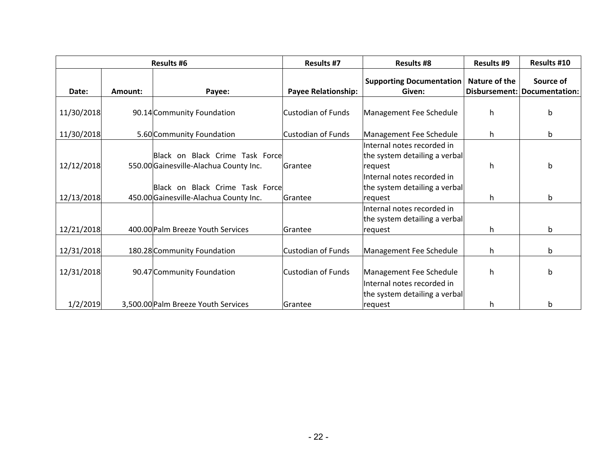| <b>Results #6</b> |         |                                        | <b>Results #7</b>          | <b>Results #8</b>                                           | <b>Results #9</b> | <b>Results #10</b>                          |
|-------------------|---------|----------------------------------------|----------------------------|-------------------------------------------------------------|-------------------|---------------------------------------------|
| Date:             | Amount: | Payee:                                 | <b>Payee Relationship:</b> | <b>Supporting Documentation</b><br>Given:                   | Nature of the     | Source of<br>Disbursement:   Documentation: |
|                   |         |                                        |                            |                                                             |                   |                                             |
| 11/30/2018        |         | 90.14 Community Foundation             | lCustodian of Funds        | Management Fee Schedule                                     | h.                | b                                           |
| 11/30/2018        |         | 5.60 Community Foundation              | Custodian of Funds         | Management Fee Schedule                                     | h.                | b                                           |
|                   |         |                                        |                            | Internal notes recorded in                                  |                   |                                             |
|                   |         | Black on Black Crime Task Force        |                            | the system detailing a verbal                               |                   |                                             |
| 12/12/2018        |         | 550.00 Gainesville-Alachua County Inc. | lGrantee                   | request                                                     | h.                | b                                           |
|                   |         |                                        |                            | Internal notes recorded in                                  |                   |                                             |
|                   |         | Black on Black Crime Task Force        |                            | the system detailing a verbal                               |                   |                                             |
| 12/13/2018        |         | 450.00 Gainesville-Alachua County Inc. | lGrantee                   | request                                                     | h.                | b                                           |
|                   |         |                                        |                            | Internal notes recorded in<br>the system detailing a verbal |                   |                                             |
| 12/21/2018        |         | 400.00 Palm Breeze Youth Services      | lGrantee                   | request                                                     | h.                | b                                           |
| 12/31/2018        |         | 180.28 Community Foundation            | Custodian of Funds         | Management Fee Schedule                                     | h.                | b                                           |
| 12/31/2018        |         | 90.47 Community Foundation             | Custodian of Funds         | Management Fee Schedule                                     | h.                | b                                           |
|                   |         |                                        |                            | Internal notes recorded in                                  |                   |                                             |
|                   |         |                                        |                            | the system detailing a verbal                               |                   |                                             |
| 1/2/2019          |         | 3,500.00 Palm Breeze Youth Services    | lGrantee                   | request                                                     | h.                | b                                           |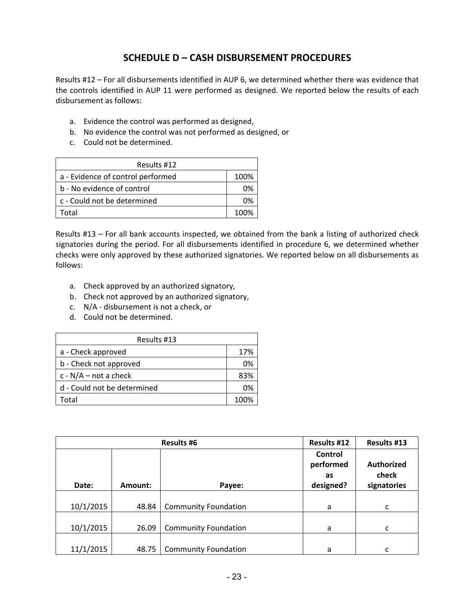## **SCHEDULE D – CASH DISBURSEMENT PROCEDURES**

Results #12 – For all disbursements identified in AUP 6, we determined whether there was evidence that the controls identified in AUP 11 were performed as designed. We reported below the results of each disbursement as follows:

- a. Evidence the control was performed as designed,
- b. No evidence the control was not performed as designed, or
- c. Could not be determined.

| Results #12                       |      |  |  |
|-----------------------------------|------|--|--|
| a - Evidence of control performed | 100% |  |  |
| b - No evidence of control        | በ%   |  |  |
| c - Could not be determined       | በ%   |  |  |
| otal.                             | 1በበ% |  |  |

Results #13 – For all bank accounts inspected, we obtained from the bank a listing of authorized check signatories during the period. For all disbursements identified in procedure 6, we determined whether checks were only approved by these authorized signatories. We reported below on all disbursements as follows:

- a. Check approved by an authorized signatory,
- b. Check not approved by an authorized signatory,
- c. N/A ‐ disbursement is not a check, or
- d. Could not be determined.

| Results #13                 |      |  |  |
|-----------------------------|------|--|--|
| a - Check approved          | 17%  |  |  |
| b - Check not approved      | 0%   |  |  |
| c - $N/A$ – not a check     | 83%  |  |  |
| d - Could not be determined | 0%   |  |  |
| 'otal                       | 100% |  |  |

| <b>Results #6</b> |         |                             | Results #12                             | Results #13                               |
|-------------------|---------|-----------------------------|-----------------------------------------|-------------------------------------------|
| Date:             | Amount: | Payee:                      | Control<br>performed<br>as<br>designed? | <b>Authorized</b><br>check<br>signatories |
| 10/1/2015         | 48.84   | <b>Community Foundation</b> | a                                       | C                                         |
| 10/1/2015         | 26.09   | <b>Community Foundation</b> | a                                       | c                                         |
| 11/1/2015         | 48.75   | <b>Community Foundation</b> | a                                       | c                                         |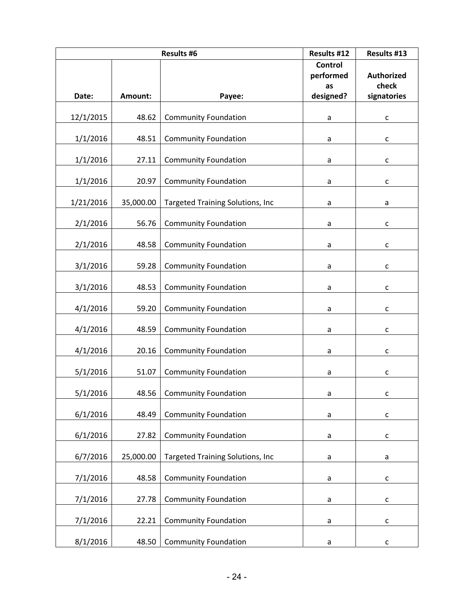| <b>Results #6</b> |           |                                         | Results #12     | Results #13                |
|-------------------|-----------|-----------------------------------------|-----------------|----------------------------|
|                   |           |                                         | <b>Control</b>  |                            |
|                   |           |                                         | performed<br>as | <b>Authorized</b><br>check |
| Date:             | Amount:   | Payee:                                  | designed?       | signatories                |
|                   |           |                                         |                 |                            |
| 12/1/2015         | 48.62     | <b>Community Foundation</b>             | $\mathsf a$     | С                          |
| 1/1/2016          | 48.51     | <b>Community Foundation</b>             | a               | С                          |
| 1/1/2016          | 27.11     | <b>Community Foundation</b>             | a               | $\mathsf{C}$               |
| 1/1/2016          | 20.97     | <b>Community Foundation</b>             | a               | С                          |
| 1/21/2016         | 35,000.00 | Targeted Training Solutions, Inc        | a               | a                          |
| 2/1/2016          | 56.76     | <b>Community Foundation</b>             | a               | C                          |
| 2/1/2016          | 48.58     | <b>Community Foundation</b>             | a               | $\mathsf{C}$               |
| 3/1/2016          | 59.28     | <b>Community Foundation</b>             | a               | С                          |
| 3/1/2016          | 48.53     | <b>Community Foundation</b>             | a               | C                          |
| 4/1/2016          | 59.20     | <b>Community Foundation</b>             | a               | C                          |
| 4/1/2016          | 48.59     | <b>Community Foundation</b>             | a               | С                          |
| 4/1/2016          | 20.16     | <b>Community Foundation</b>             | a               | с                          |
| 5/1/2016          | 51.07     | <b>Community Foundation</b>             | a               | C                          |
| 5/1/2016          |           | 48.56   Community Foundation            | a               | с                          |
| 6/1/2016          | 48.49     | <b>Community Foundation</b>             | $\mathsf a$     | $\mathsf{C}$               |
| 6/1/2016          | 27.82     | <b>Community Foundation</b>             | a               | $\mathsf{C}$               |
| 6/7/2016          | 25,000.00 | <b>Targeted Training Solutions, Inc</b> | a               | a                          |
| 7/1/2016          | 48.58     | <b>Community Foundation</b>             | a               | $\mathsf{C}$               |
| 7/1/2016          | 27.78     | <b>Community Foundation</b>             | a               | С                          |
| 7/1/2016          | 22.21     | <b>Community Foundation</b>             | a               | $\mathsf{C}$               |
| 8/1/2016          | 48.50     | <b>Community Foundation</b>             | a               | C                          |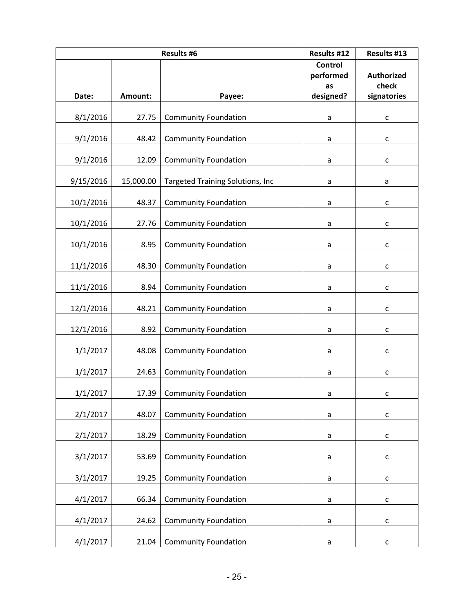| <b>Results #6</b> |           |                                         | Results #12     | Results #13                |
|-------------------|-----------|-----------------------------------------|-----------------|----------------------------|
|                   |           |                                         | <b>Control</b>  |                            |
|                   |           |                                         | performed<br>as | <b>Authorized</b><br>check |
| Date:             | Amount:   | Payee:                                  | designed?       | signatories                |
|                   |           |                                         |                 |                            |
| 8/1/2016          | 27.75     | <b>Community Foundation</b>             | $\mathsf a$     | C                          |
| 9/1/2016          | 48.42     | <b>Community Foundation</b>             | a               | C                          |
| 9/1/2016          | 12.09     | <b>Community Foundation</b>             | a               | $\mathsf{C}$               |
| 9/15/2016         | 15,000.00 | <b>Targeted Training Solutions, Inc</b> | a               | a                          |
| 10/1/2016         | 48.37     | <b>Community Foundation</b>             | a               | C                          |
| 10/1/2016         | 27.76     | <b>Community Foundation</b>             | a               | C                          |
| 10/1/2016         | 8.95      | <b>Community Foundation</b>             | a               | $\mathsf{C}$               |
| 11/1/2016         | 48.30     | <b>Community Foundation</b>             | a               | C                          |
| 11/1/2016         | 8.94      | <b>Community Foundation</b>             | a               | C                          |
| 12/1/2016         | 48.21     | <b>Community Foundation</b>             | a               | C                          |
| 12/1/2016         | 8.92      | <b>Community Foundation</b>             | a               | C                          |
| 1/1/2017          | 48.08     | <b>Community Foundation</b>             | a               | с                          |
| 1/1/2017          | 24.63     | <b>Community Foundation</b>             | a               | C                          |
| 1/1/2017          |           | 17.39   Community Foundation            | a               | c                          |
| 2/1/2017          | 48.07     | <b>Community Foundation</b>             | a               | $\mathsf{C}$               |
| 2/1/2017          | 18.29     | <b>Community Foundation</b>             | a               | $\mathsf{C}$               |
| 3/1/2017          | 53.69     | <b>Community Foundation</b>             | $\mathsf a$     | $\mathsf{C}$               |
| 3/1/2017          | 19.25     | <b>Community Foundation</b>             | a               | $\mathsf{C}$               |
| 4/1/2017          | 66.34     | <b>Community Foundation</b>             | $\mathsf a$     | $\mathsf{C}$               |
| 4/1/2017          | 24.62     | <b>Community Foundation</b>             | a               | $\mathsf{C}$               |
| 4/1/2017          | 21.04     | <b>Community Foundation</b>             | a               | С                          |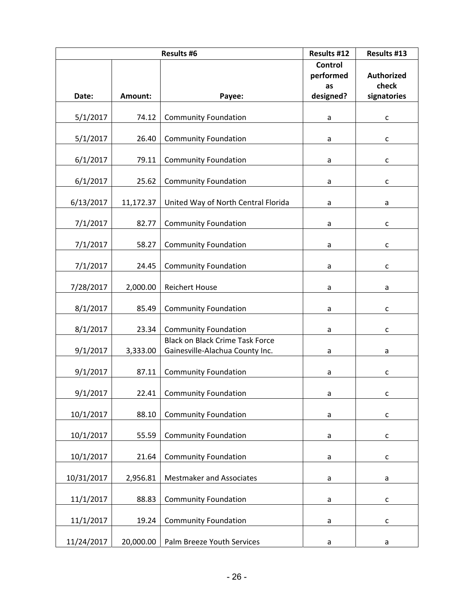| <b>Results #6</b> |           |                                                                       | Results #12     | Results #13                |
|-------------------|-----------|-----------------------------------------------------------------------|-----------------|----------------------------|
|                   |           |                                                                       | Control         |                            |
|                   |           |                                                                       | performed<br>as | <b>Authorized</b><br>check |
| Date:             | Amount:   | Payee:                                                                | designed?       | signatories                |
|                   |           |                                                                       |                 |                            |
| 5/1/2017          | 74.12     | <b>Community Foundation</b>                                           | $\mathsf a$     | C                          |
| 5/1/2017          | 26.40     | <b>Community Foundation</b>                                           | a               | C                          |
| 6/1/2017          | 79.11     | <b>Community Foundation</b>                                           | a               | $\mathsf{C}$               |
| 6/1/2017          | 25.62     | <b>Community Foundation</b>                                           | a               | $\mathsf{C}$               |
| 6/13/2017         | 11,172.37 | United Way of North Central Florida                                   | a               | a                          |
| 7/1/2017          | 82.77     | <b>Community Foundation</b>                                           | a               | C                          |
| 7/1/2017          | 58.27     | <b>Community Foundation</b>                                           | a               | $\mathsf{C}$               |
| 7/1/2017          | 24.45     | <b>Community Foundation</b>                                           | a               | с                          |
| 7/28/2017         | 2,000.00  | <b>Reichert House</b>                                                 | a               | a                          |
| 8/1/2017          | 85.49     | <b>Community Foundation</b>                                           | a               | C                          |
|                   |           |                                                                       |                 |                            |
| 8/1/2017          | 23.34     | <b>Community Foundation</b><br><b>Black on Black Crime Task Force</b> | a               | C                          |
| 9/1/2017          | 3,333.00  | Gainesville-Alachua County Inc.                                       | a               | a                          |
| 9/1/2017          | 87.11     | <b>Community Foundation</b>                                           | a               | C                          |
| 9/1/2017          |           | 22.41   Community Foundation                                          | a               | с                          |
| 10/1/2017         | 88.10     | <b>Community Foundation</b>                                           | a               | C                          |
|                   |           |                                                                       |                 |                            |
| 10/1/2017         | 55.59     | <b>Community Foundation</b>                                           | a               | $\mathsf{C}$               |
| 10/1/2017         | 21.64     | <b>Community Foundation</b>                                           | a               | C                          |
| 10/31/2017        | 2,956.81  | <b>Mestmaker and Associates</b>                                       | a               | a                          |
| 11/1/2017         | 88.83     | <b>Community Foundation</b>                                           | a               | С                          |
| 11/1/2017         | 19.24     | <b>Community Foundation</b>                                           | $\mathsf a$     | $\mathsf{C}$               |
| 11/24/2017        | 20,000.00 | Palm Breeze Youth Services                                            | a               | a                          |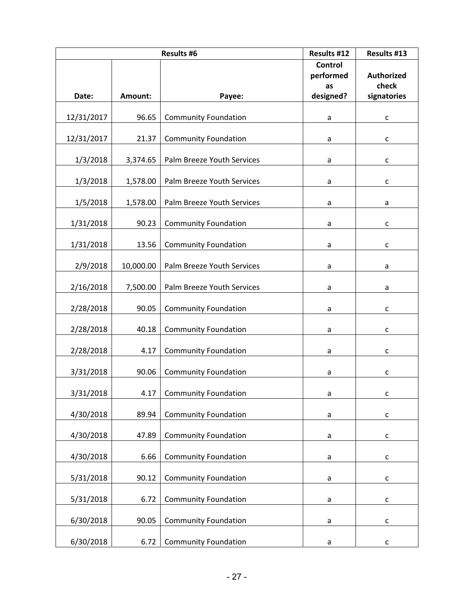| <b>Results #6</b> |           |                             | Results #12     | Results #13                |
|-------------------|-----------|-----------------------------|-----------------|----------------------------|
|                   |           |                             | <b>Control</b>  |                            |
|                   |           |                             | performed<br>as | <b>Authorized</b><br>check |
| Date:             | Amount:   | Payee:                      | designed?       | signatories                |
|                   |           |                             |                 |                            |
| 12/31/2017        | 96.65     | <b>Community Foundation</b> | $\mathsf a$     | C                          |
| 12/31/2017        | 21.37     | <b>Community Foundation</b> | a               | C                          |
| 1/3/2018          | 3,374.65  | Palm Breeze Youth Services  | a               | $\mathsf{C}$               |
| 1/3/2018          | 1,578.00  | Palm Breeze Youth Services  | a               | C                          |
| 1/5/2018          | 1,578.00  | Palm Breeze Youth Services  | a               | a                          |
| 1/31/2018         | 90.23     | <b>Community Foundation</b> | a               | C                          |
| 1/31/2018         | 13.56     | <b>Community Foundation</b> | a               | $\mathsf{C}$               |
| 2/9/2018          | 10,000.00 | Palm Breeze Youth Services  | a               | a                          |
| 2/16/2018         | 7,500.00  | Palm Breeze Youth Services  | a               | a                          |
| 2/28/2018         | 90.05     | <b>Community Foundation</b> | a               | C                          |
| 2/28/2018         | 40.18     | <b>Community Foundation</b> | a               | C                          |
| 2/28/2018         | 4.17      | <b>Community Foundation</b> | a               | с                          |
| 3/31/2018         | 90.06     | <b>Community Foundation</b> | a               | C                          |
| 3/31/2018         |           | 4.17   Community Foundation | a               | с                          |
| 4/30/2018         | 89.94     | <b>Community Foundation</b> | $\mathsf a$     | $\mathsf{C}$               |
| 4/30/2018         | 47.89     | <b>Community Foundation</b> | a               | $\mathsf{C}$               |
| 4/30/2018         | 6.66      | <b>Community Foundation</b> | $\mathsf a$     | $\mathsf{C}$               |
| 5/31/2018         | 90.12     | <b>Community Foundation</b> | a               | $\mathsf{C}$               |
| 5/31/2018         | 6.72      | <b>Community Foundation</b> | a               | С                          |
| 6/30/2018         | 90.05     | <b>Community Foundation</b> | a               | $\mathsf{C}$               |
| 6/30/2018         | 6.72      | <b>Community Foundation</b> | a               | C                          |